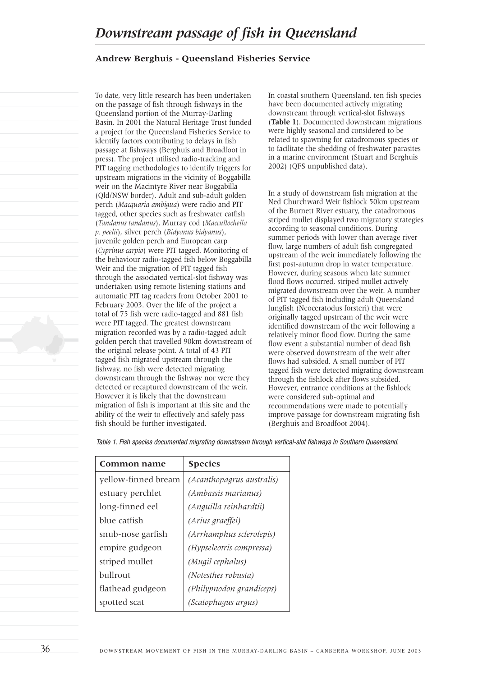## *Downstream passage of fish in Queensland*

## **Andrew Berghuis - Queensland Fisheries Service**

To date, very little research has been undertaken on the passage of fish through fishways in the Queensland portion of the Murray-Darling Basin. In 2001 the Natural Heritage Trust funded a project for the Queensland Fisheries Service to identify factors contributing to delays in fish passage at fishways (Berghuis and Broadfoot in press). The project utilised radio-tracking and PIT tagging methodologies to identify triggers for upstream migrations in the vicinity of Boggabilla weir on the Macintyre River near Boggabilla (Qld/NSW border). Adult and sub-adult golden perch (*Macquaria ambigua*) were radio and PIT tagged, other species such as freshwater catfish (*Tandanus tandanus*), Murray cod (*Maccullochella p. peelii*), silver perch (*Bidyanus bidyanus*), juvenile golden perch and European carp (*Cyprinus carpio*) were PIT tagged. Monitoring of the behaviour radio-tagged fish below Boggabilla Weir and the migration of PIT tagged fish through the associated vertical-slot fishway was undertaken using remote listening stations and automatic PIT tag readers from October 2001 to February 2003. Over the life of the project a total of 75 fish were radio-tagged and 881 fish were PIT tagged. The greatest downstream migration recorded was by a radio-tagged adult golden perch that travelled 90km downstream of the original release point. A total of 43 PIT tagged fish migrated upstream through the fishway, no fish were detected migrating downstream through the fishway nor were they detected or recaptured downstream of the weir. However it is likely that the downstream migration of fish is important at this site and the ability of the weir to effectively and safely pass fish should be further investigated.

In coastal southern Queensland, ten fish species have been documented actively migrating downstream through vertical-slot fishways (**Table 1**). Documented downstream migrations were highly seasonal and considered to be related to spawning for catadromous species or to facilitate the shedding of freshwater parasites in a marine environment (Stuart and Berghuis 2002) (QFS unpublished data).

In a study of downstream fish migration at the Ned Churchward Weir fishlock 50km upstream of the Burnett River estuary, the catadromous striped mullet displayed two migratory strategies according to seasonal conditions. During summer periods with lower than average river flow, large numbers of adult fish congregated upstream of the weir immediately following the first post-autumn drop in water temperature. However, during seasons when late summer flood flows occurred, striped mullet actively migrated downstream over the weir. A number of PIT tagged fish including adult Queensland lungfish (Neoceratodus forsteri) that were originally tagged upstream of the weir were identified downstream of the weir following a relatively minor flood flow. During the same flow event a substantial number of dead fish were observed downstream of the weir after flows had subsided. A small number of PIT tagged fish were detected migrating downstream through the fishlock after flows subsided. However, entrance conditions at the fishlock were considered sub-optimal and recommendations were made to potentially improve passage for downstream migrating fish (Berghuis and Broadfoot 2004).

*Table 1. Fish species documented migrating downstream through vertical-slot fishways in Southern Queensland.*

| <b>Common name</b>  | <b>Species</b>            |
|---------------------|---------------------------|
| yellow-finned bream | (Acanthopagrus australis) |
| estuary perchlet    | (Ambassis marianus)       |
| long-finned eel     | (Anguilla reinhardtii)    |
| blue catfish        | (Arius graeffei)          |
| snub-nose garfish   | (Arrhamphus sclerolepis)  |
| empire gudgeon      | (Hypseleotris compressa)  |
| striped mullet      | (Mugil cephalus)          |
| bullrout            | (Notesthes robusta)       |
| flathead gudgeon    | (Philypnodon grandiceps)  |
| spotted scat        | (Scatophagus argus)       |